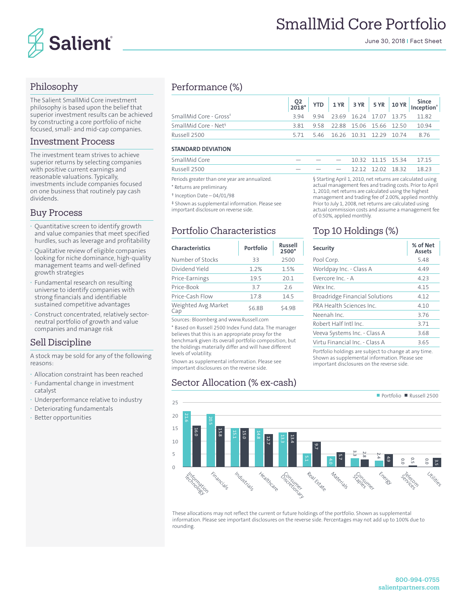

June 30, 2018 | Fact Sheet

# Philosophy

The Salient SmallMid Core investment philosophy is based upon the belief that superior investment results can be achieved by constructing a core portfolio of niche focused, small- and mid-cap companies.

#### Investment Process

The investment team strives to achieve superior returns by selecting companies with positive current earnings and reasonable valuations. Typically, investments include companies focused on one business that routinely pay cash dividends.

#### Buy Process

- **·** Quantitative screen to identify growth and value companies that meet specified hurdles, such as leverage and profitability
- **·** Qualitative review of eligible companies looking for niche dominance, high-quality management teams and well-defined growth strategies
- **·** Fundamental research on resulting universe to identify companies with strong financials and identifiable sustained competitive advantages
- **·** Construct concentrated, relatively sectorneutral portfolio of growth and value companies and manage risk

# Sell Discipline

A stock may be sold for any of the following reasons:

- **·** Allocation constraint has been reached
- **·** Fundamental change in investment catalyst
- **·** Underperformance relative to industry
- **·** Deteriorating fundamentals
- **·** Better opportunities

# Performance (%)

|                                    |  |  |  | $\begin{array}{ c c c c c c c c c } \hline \text{Q2} & \text{YTD} & \text{1 YR} & \text{3 YR} & \text{5 YR} & \text{10 YR} & \text{Inception'} \\ \hline \end{array}$ |
|------------------------------------|--|--|--|-----------------------------------------------------------------------------------------------------------------------------------------------------------------------|
| SmallMid Core - Gross <sup>*</sup> |  |  |  | 394 994 2369 1624 1707 1375 1182                                                                                                                                      |
| SmallMid Core - Net <sup>§</sup>   |  |  |  | 3.81 9.58 22.88 15.06 15.66 12.50 10.94                                                                                                                               |
| Russell 2500                       |  |  |  | 5.71 5.46 16.26 10.31 12.29 10.74 8.76                                                                                                                                |

#### **STANDARD DEVIATION**

| SmallMid Core |  |  | $ -$ 10.32 11.15 15.34 17.15 |  |
|---------------|--|--|------------------------------|--|
| Russell 2500  |  |  | $ -$ 12.12 12.02 18.32 18.23 |  |

Periods greater than one year are annualized.

\* Returns are preliminary.

† Inception Date – 04/01/98

‡ Shown as supplemental information. Please see important disclosure on reverse side.

# Portfolio Characteristics

| <b>Characteristics</b>     | Portfolio | <b>Russell</b><br>2500* |  |  |
|----------------------------|-----------|-------------------------|--|--|
| Number of Stocks           | 33        | 2500                    |  |  |
| Dividend Yield             | 1.2%      | 1.5%                    |  |  |
| Price-Earnings             | 19.5      | 20.1                    |  |  |
| Price-Book                 | 3.7       | 26                      |  |  |
| Price-Cash Flow            | 17.8      | 14.5                    |  |  |
| Weighted Avg Market<br>Cap | \$6.8B    | \$4.9B                  |  |  |

Sources: Bloomberg and www.Russell.com

\* Based on Russell 2500 Index Fund data. The manager believes that this is an appropriate proxy for the benchmark given its overall portfolio composition, but the holdings materially differ and will have different levels of volatility.

Shown as supplemental information. Please see important disclosures on the reverse side.

# Sector Allocation (% ex-cash)

§ Starting April 1, 2010, net returns are calculated using actual management fees and trading costs. Prior to April 1, 2010, net returns are calculated using the highest management and trading fee of 2.00%, applied monthly. Prior to July 1, 2008, net returns are calculated using actual commission costs and assume a management fee of 0.50%, applied monthly.

# Top 10 Holdings (%)

| Security                                             | % of Net<br><b>Assets</b> |  |  |  |
|------------------------------------------------------|---------------------------|--|--|--|
| Pool Corp.                                           | 5.48                      |  |  |  |
| Worldpay Inc. - Class A                              | 4.49                      |  |  |  |
| Evercore Inc. - A                                    | 4.23                      |  |  |  |
| Wex Inc.                                             | 4.15                      |  |  |  |
| <b>Broadridge Financial Solutions</b>                | 4.12                      |  |  |  |
| PRA Health Sciences Inc.                             | 4.10                      |  |  |  |
| Neenah Inc                                           | 3.76                      |  |  |  |
| Robert Half Intl Inc.                                | 3.71                      |  |  |  |
| Veeva Systems Inc. - Class A                         | 3.68                      |  |  |  |
| Virtu Financial Inc. - Class A                       | 3.65                      |  |  |  |
| Portfolio holdings are subject to change at any time |                           |  |  |  |

Portfolio holdings are subject to change at any time. Shown as supplemental information. Please see important disclosures on the reverse side.





These allocations may not reflect the current or future holdings of the portfolio. Shown as supplemental information. Please see important disclosures on the reverse side. Percentages may not add up to 100% due to rounding.